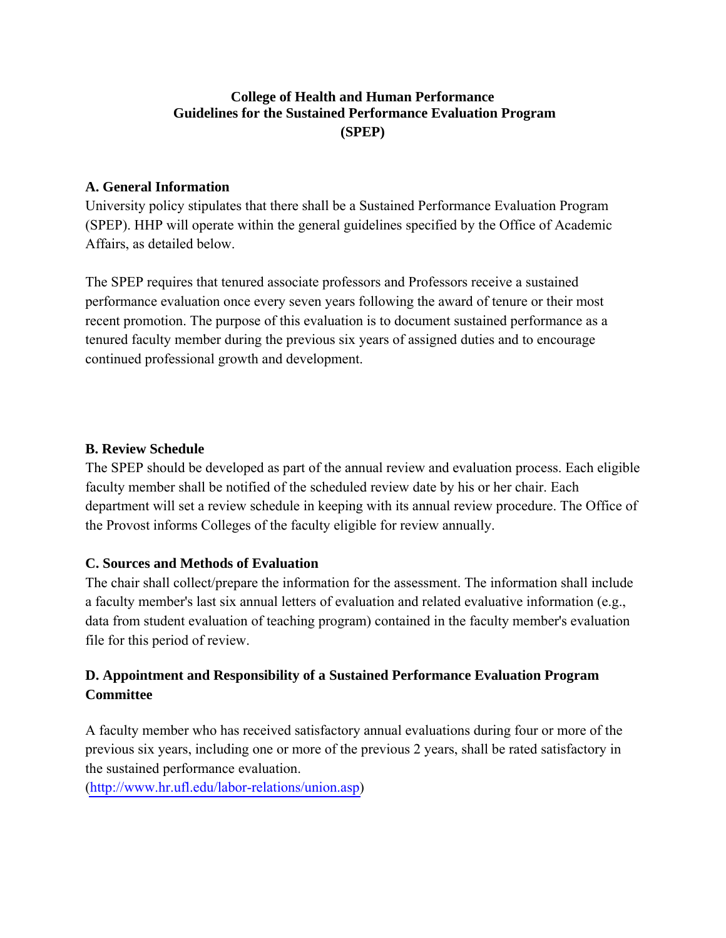# **College of Health and Human Performance Guidelines for the Sustained Performance Evaluation Program (SPEP)**

#### **A. General Information**

University policy stipulates that there shall be a Sustained Performance Evaluation Program (SPEP). HHP will operate within the general guidelines specified by the Office of Academic Affairs, as detailed below.

The SPEP requires that tenured associate professors and Professors receive a sustained performance evaluation once every seven years following the award of tenure or their most recent promotion. The purpose of this evaluation is to document sustained performance as a tenured faculty member during the previous six years of assigned duties and to encourage continued professional growth and development.

#### **B. Review Schedule**

The SPEP should be developed as part of the annual review and evaluation process. Each eligible faculty member shall be notified of the scheduled review date by his or her chair. Each department will set a review schedule in keeping with its annual review procedure. The Office of the Provost informs Colleges of the faculty eligible for review annually.

## **C. Sources and Methods of Evaluation**

The chair shall collect/prepare the information for the assessment. The information shall include a faculty member's last six annual letters of evaluation and related evaluative information (e.g., data from student evaluation of teaching program) contained in the faculty member's evaluation file for this period of review.

# **D. Appointment and Responsibility of a Sustained Performance Evaluation Program Committee**

A faculty member who has received satisfactory annual evaluations during four or more of the previous six years, including one or more of the previous 2 years, shall be rated satisfactory in the sustained performance evaluation.

[\(http://www.hr.ufl.edu/labor-relations/union.asp\)](http://www.hr.ufl.edu/labor-relations/union.asp)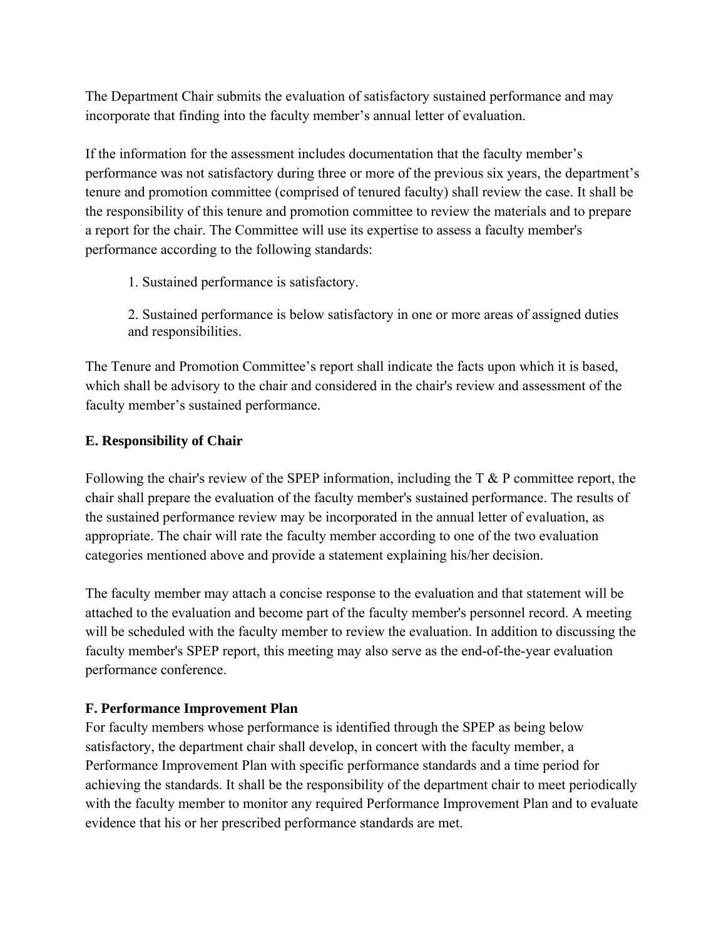The Department Chair submits the evaluation of satisfactory sustained performance and may incorporate that finding into the faculty member's annual letter of evaluation.

If the information for the assessment includes documentation that the faculty member's performance was not satisfactory during three or more of the previous six years, the department's tenure and promotion committee (comprised of tenured faculty) shall review the case. It shall be the responsibility of this tenure and promotion committee to review the materials and to prepare a report for the chair. The Committee will use its expertise to assess a faculty member's performance according to the following standards:

1. Sustained performance is satisfactory.

2. Sustained performance is below satisfactory in one or more areas of assigned duties and responsibilities.

The Tenure and Promotion Committee's report shall indicate the facts upon which it is based, which shall be advisory to the chair and considered in the chair's review and assessment of the faculty member's sustained performance.

#### **E. Responsibility of Chair**

Following the chair's review of the SPEP information, including the  $T \& P$  committee report, the chair shall prepare the evaluation of the faculty member's sustained performance. The results of the sustained performance review may be incorporated in the annual letter of evaluation, as appropriate. The chair will rate the faculty member according to one of the two evaluation categories mentioned above and provide a statement explaining his/her decision.

The faculty member may attach a concise response to the evaluation and that statement will be attached to the evaluation and become part of the faculty member's personnel record. A meeting will be scheduled with the faculty member to review the evaluation. In addition to discussing the faculty member's SPEP report, this meeting may also serve as the end-of-the-year evaluation performance conference.

## **F. Performance Improvement Plan**

For faculty members whose performance is identified through the SPEP as being below satisfactory, the department chair shall develop, in concert with the faculty member, a Performance Improvement Plan with specific performance standards and a time period for achieving the standards. It shall be the responsibility of the department chair to meet periodically with the faculty member to monitor any required Performance Improvement Plan and to evaluate evidence that his or her prescribed performance standards are met.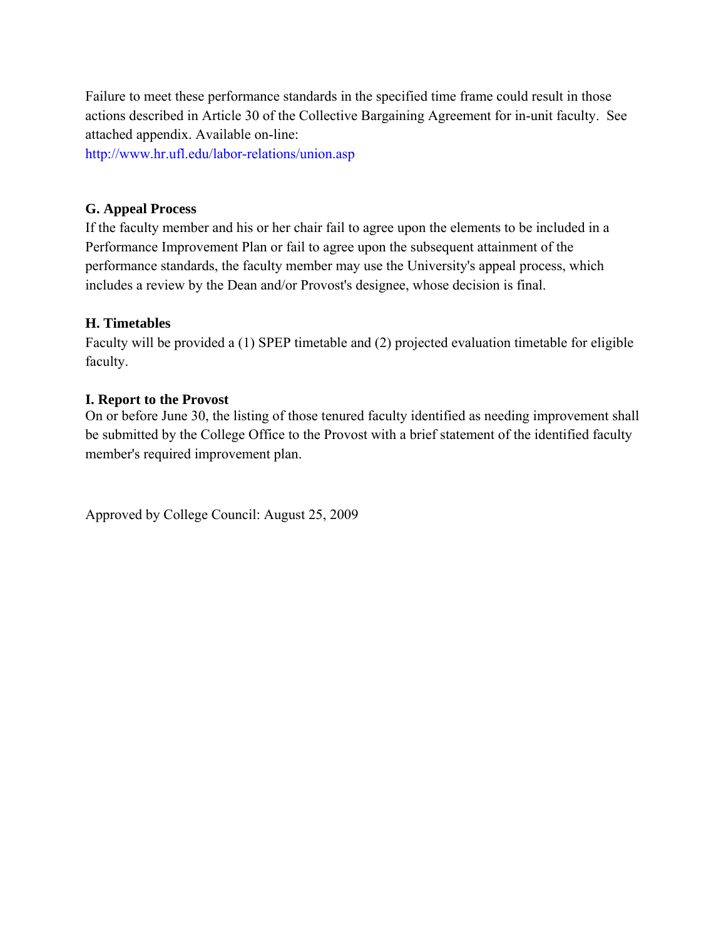Failure to meet these performance standards in the specified time frame could result in those actions described in Article 30 of the Collective Bargaining Agreement for in-unit faculty. See attached appendix. Available on-line:

<http://www.hr.ufl.edu/labor-relations/union.asp>

#### **G. Appeal Process**

If the faculty member and his or her chair fail to agree upon the elements to be included in a Performance Improvement Plan or fail to agree upon the subsequent attainment of the performance standards, the faculty member may use the University's appeal process, which includes a review by the Dean and/or Provost's designee, whose decision is final.

#### **H. Timetables**

Faculty will be provided a (1) SPEP timetable and (2) projected evaluation timetable for eligible faculty.

#### **I. Report to the Provost**

On or before June 30, the listing of those tenured faculty identified as needing improvement shall be submitted by the College Office to the Provost with a brief statement of the identified faculty member's required improvement plan.

Approved by College Council: August 25, 2009